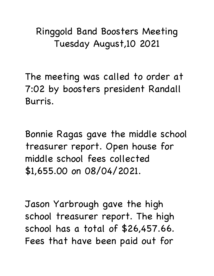## Ringgold Band Boosters Meeting Tuesday August,10 2021

The meeting was called to order at 7:02 by boosters president Randall Burris.

Bonnie Ragas gave the middle school treasurer report. Open house for middle school fees collected \$1,655.00 on 08/04/2021.

Jason Yarbrough gave the high school treasurer report. The high school has a total of \$26,457.66. Fees that have been paid out for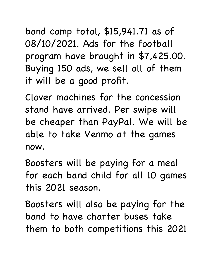band camp total, \$15,941.71 as of 08/10/2021. Ads for the football program have brought in \$7,425.00. Buying 150 ads, we sell all of them it will be a good profit.

Clover machines for the concession stand have arrived. Per swipe will be cheaper than PayPal. We will be able to take Venmo at the games now.

Boosters will be paying for a meal for each band child for all 10 games this 2021 season.

Boosters will also be paying for the band to have charter buses take them to both competitions this 2021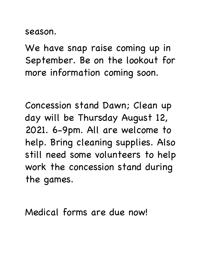season.

We have snap raise coming up in September. Be on the lookout for more information coming soon.

Concession stand Dawn; Clean up day will be Thursday August 12, 2021. 6-9pm. All are welcome to help. Bring cleaning supplies. Also still need some volunteers to help work the concession stand during the games.

Medical forms are due now!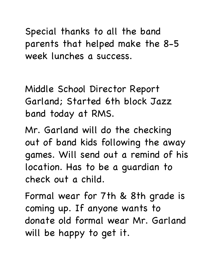Special thanks to all the band parents that helped make the 8-5 week lunches a success.

Middle School Director Report Garland; Started 6th block Jazz band today at RMS.

Mr. Garland will do the checking out of band kids following the away games. Will send out a remind of his location. Has to be a guardian to check out a child.

Formal wear for 7th & 8th grade is coming up. If anyone wants to donate old formal wear Mr. Garland will be happy to get it.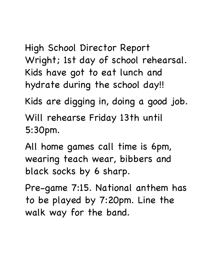High School Director Report Wright; 1st day of school rehearsal. Kids have got to eat lunch and hydrate during the school day!!

Kids are digging in, doing a good job.

Will rehearse Friday 13th until 5:30pm.

All home games call time is 6pm, wearing teach wear, bibbers and black socks by 6 sharp.

Pre-game 7:15. National anthem has to be played by 7:20pm. Line the walk way for the band.